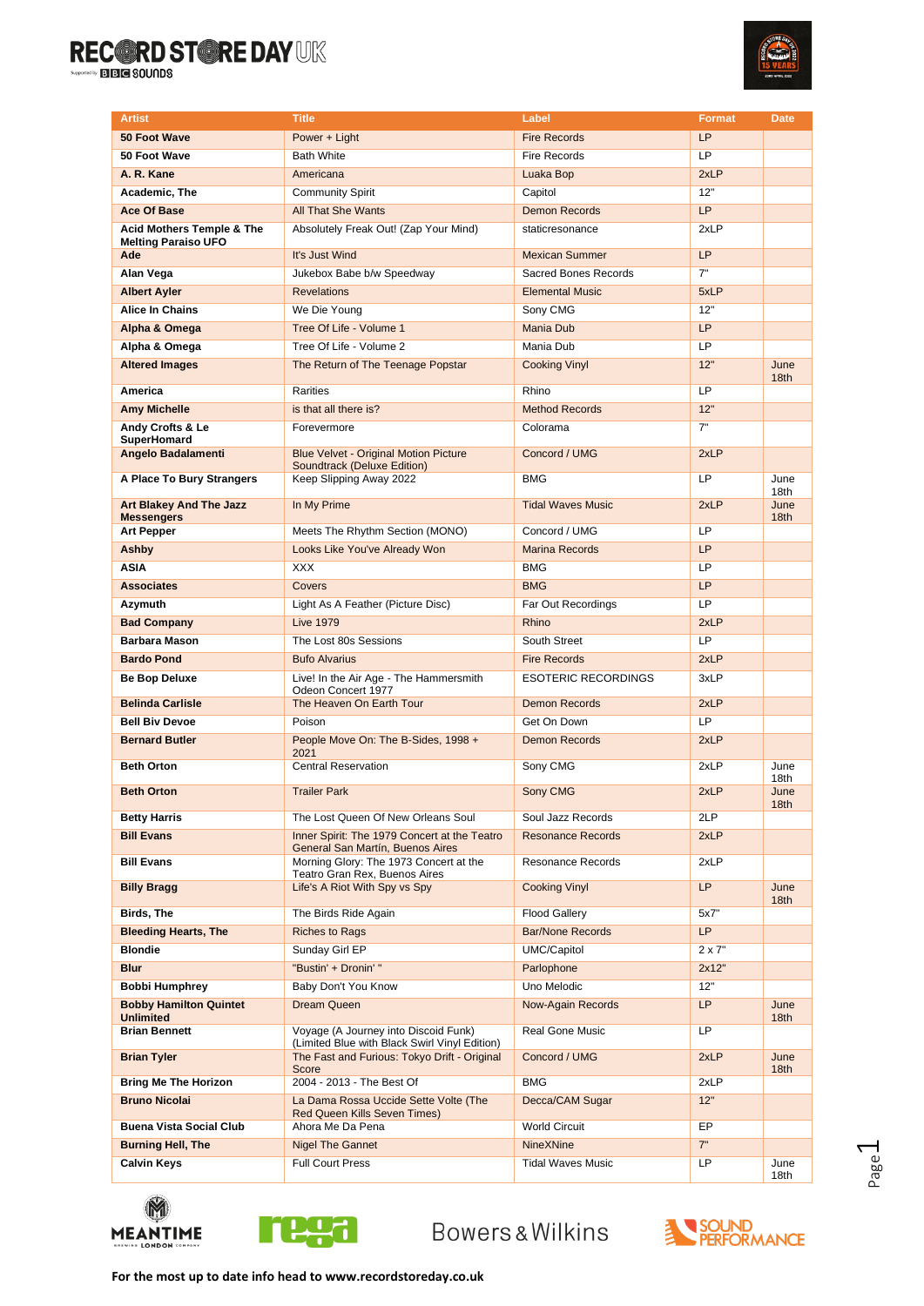

| <b>Artist</b>                                                      | <b>Title</b>                                                                          | Label                      | <b>Format</b> | <b>Date</b>              |
|--------------------------------------------------------------------|---------------------------------------------------------------------------------------|----------------------------|---------------|--------------------------|
| 50 Foot Wave                                                       | Power + Light                                                                         | <b>Fire Records</b>        | LP            |                          |
| 50 Foot Wave                                                       | <b>Bath White</b>                                                                     | Fire Records               | LP            |                          |
| A. R. Kane                                                         | Americana                                                                             | Luaka Bop                  | 2xLP          |                          |
| Academic. The                                                      | <b>Community Spirit</b>                                                               | Capitol                    | 12"           |                          |
| <b>Ace Of Base</b>                                                 | <b>All That She Wants</b>                                                             | <b>Demon Records</b>       | <b>LP</b>     |                          |
| <b>Acid Mothers Temple &amp; The</b><br><b>Melting Paraiso UFO</b> | Absolutely Freak Out! (Zap Your Mind)                                                 | staticresonance            | 2xLP          |                          |
| Ade                                                                | It's Just Wind                                                                        | <b>Mexican Summer</b>      | <b>LP</b>     |                          |
| Alan Vega                                                          | Jukebox Babe b/w Speedway                                                             | Sacred Bones Records       | 7"            |                          |
| <b>Albert Ayler</b>                                                | <b>Revelations</b>                                                                    | <b>Elemental Music</b>     | 5xLP          |                          |
| Alice In Chains                                                    | We Die Young                                                                          | Sony CMG                   | 12"           |                          |
| Alpha & Omega                                                      | Tree Of Life - Volume 1                                                               | Mania Dub                  | <b>LP</b>     |                          |
| Alpha & Omega                                                      | Tree Of Life - Volume 2                                                               | Mania Dub                  | LP            |                          |
| <b>Altered Images</b>                                              | The Return of The Teenage Popstar                                                     | <b>Cooking Vinyl</b>       | 12"           | June<br>18 <sub>th</sub> |
| America                                                            | Rarities                                                                              | Rhino                      | LP            |                          |
| <b>Amy Michelle</b>                                                | is that all there is?                                                                 | <b>Method Records</b>      | 12"           |                          |
| Andy Crofts & Le<br>SuperHomard                                    | Forevermore                                                                           | Colorama                   | 7"            |                          |
| Angelo Badalamenti                                                 | <b>Blue Velvet - Original Motion Picture</b><br>Soundtrack (Deluxe Edition)           | Concord / UMG              | 2xLP          |                          |
| A Place To Bury Strangers                                          | Keep Slipping Away 2022                                                               | <b>BMG</b>                 | LP            | June<br>18th             |
| <b>Art Blakey And The Jazz</b><br><b>Messengers</b>                | In My Prime                                                                           | <b>Tidal Waves Music</b>   | 2xLP          | June<br>18th             |
| <b>Art Pepper</b>                                                  | Meets The Rhythm Section (MONO)                                                       | Concord / UMG              | LP            |                          |
| Ashby                                                              | Looks Like You've Already Won                                                         | <b>Marina Records</b>      | <b>LP</b>     |                          |
| <b>ASIA</b>                                                        | <b>XXX</b>                                                                            | <b>BMG</b>                 | LP            |                          |
| <b>Associates</b>                                                  | Covers                                                                                | <b>BMG</b>                 | LP            |                          |
| Azymuth                                                            | Light As A Feather (Picture Disc)                                                     | Far Out Recordings         | LP            |                          |
| <b>Bad Company</b>                                                 | <b>Live 1979</b>                                                                      | Rhino                      | 2xLP          |                          |
| <b>Barbara Mason</b>                                               | The Lost 80s Sessions                                                                 | South Street               | LP            |                          |
| <b>Bardo Pond</b>                                                  | <b>Bufo Alvarius</b>                                                                  | <b>Fire Records</b>        | 2xLP          |                          |
| Be Bop Deluxe                                                      | Live! In the Air Age - The Hammersmith<br>Odeon Concert 1977                          | <b>ESOTERIC RECORDINGS</b> | 3xLP          |                          |
| <b>Belinda Carlisle</b>                                            | The Heaven On Earth Tour                                                              | <b>Demon Records</b>       | 2xLP          |                          |
| <b>Bell Biv Devoe</b>                                              | Poison                                                                                | Get On Down                | <b>LP</b>     |                          |
| <b>Bernard Butler</b>                                              | People Move On: The B-Sides, 1998 +<br>2021                                           | Demon Records              | 2xLP          |                          |
| <b>Beth Orton</b>                                                  | <b>Central Reservation</b>                                                            | Sony CMG                   | 2xLP          | June<br>18th             |
| <b>Beth Orton</b>                                                  | <b>Trailer Park</b>                                                                   | Sony CMG                   | 2xLP          | June<br>18 <sub>th</sub> |
| <b>Betty Harris</b>                                                | The Lost Queen Of New Orleans Soul                                                    | Soul Jazz Records          | 2LP           |                          |
| <b>Bill Evans</b>                                                  | Inner Spirit: The 1979 Concert at the Teatro<br>General San Martín, Buenos Aires      | <b>Resonance Records</b>   | 2xLP          |                          |
| <b>Bill Evans</b>                                                  | Morning Glory: The 1973 Concert at the<br>Teatro Gran Rex, Buenos Aires               | <b>Resonance Records</b>   | 2xLP          |                          |
| <b>Billy Bragg</b>                                                 | Life's A Riot With Spy vs Spy                                                         | <b>Cooking Vinyl</b>       | LP            | June<br>18th             |
| Birds, The                                                         | The Birds Ride Again                                                                  | <b>Flood Gallery</b>       | 5x7"          |                          |
| <b>Bleeding Hearts, The</b>                                        | <b>Riches to Rags</b>                                                                 | <b>Bar/None Records</b>    | LP.           |                          |
| <b>Blondie</b>                                                     | Sunday Girl EP                                                                        | UMC/Capitol                | $2 \times 7"$ |                          |
| <b>Blur</b>                                                        | "Bustin' + Dronin' "                                                                  | Parlophone                 | 2x12"         |                          |
| <b>Bobbi Humphrey</b>                                              | Baby Don't You Know                                                                   | Uno Melodic                | 12"           |                          |
| <b>Bobby Hamilton Quintet</b><br><b>Unlimited</b>                  | Dream Queen                                                                           | <b>Now-Again Records</b>   | LP            | June<br>18 <sub>th</sub> |
| <b>Brian Bennett</b>                                               | Voyage (A Journey into Discoid Funk)<br>(Limited Blue with Black Swirl Vinyl Edition) | Real Gone Music            | LP            |                          |
| <b>Brian Tyler</b>                                                 | The Fast and Furious: Tokyo Drift - Original<br>Score                                 | Concord / UMG              | 2xLP          | June<br>18th             |
| <b>Bring Me The Horizon</b>                                        | 2004 - 2013 - The Best Of                                                             | <b>BMG</b>                 | 2xLP          |                          |
| <b>Bruno Nicolai</b>                                               | La Dama Rossa Uccide Sette Volte (The<br><b>Red Queen Kills Seven Times)</b>          | Decca/CAM Sugar            | 12"           |                          |
| <b>Buena Vista Social Club</b>                                     | Ahora Me Da Pena                                                                      | <b>World Circuit</b>       | EP            |                          |
| <b>Burning Hell, The</b>                                           | <b>Nigel The Gannet</b>                                                               | <b>NineXNine</b>           | 7"            |                          |
| <b>Calvin Keys</b>                                                 | <b>Full Court Press</b>                                                               | Tidal Waves Music          | LP            | June<br>18th             |



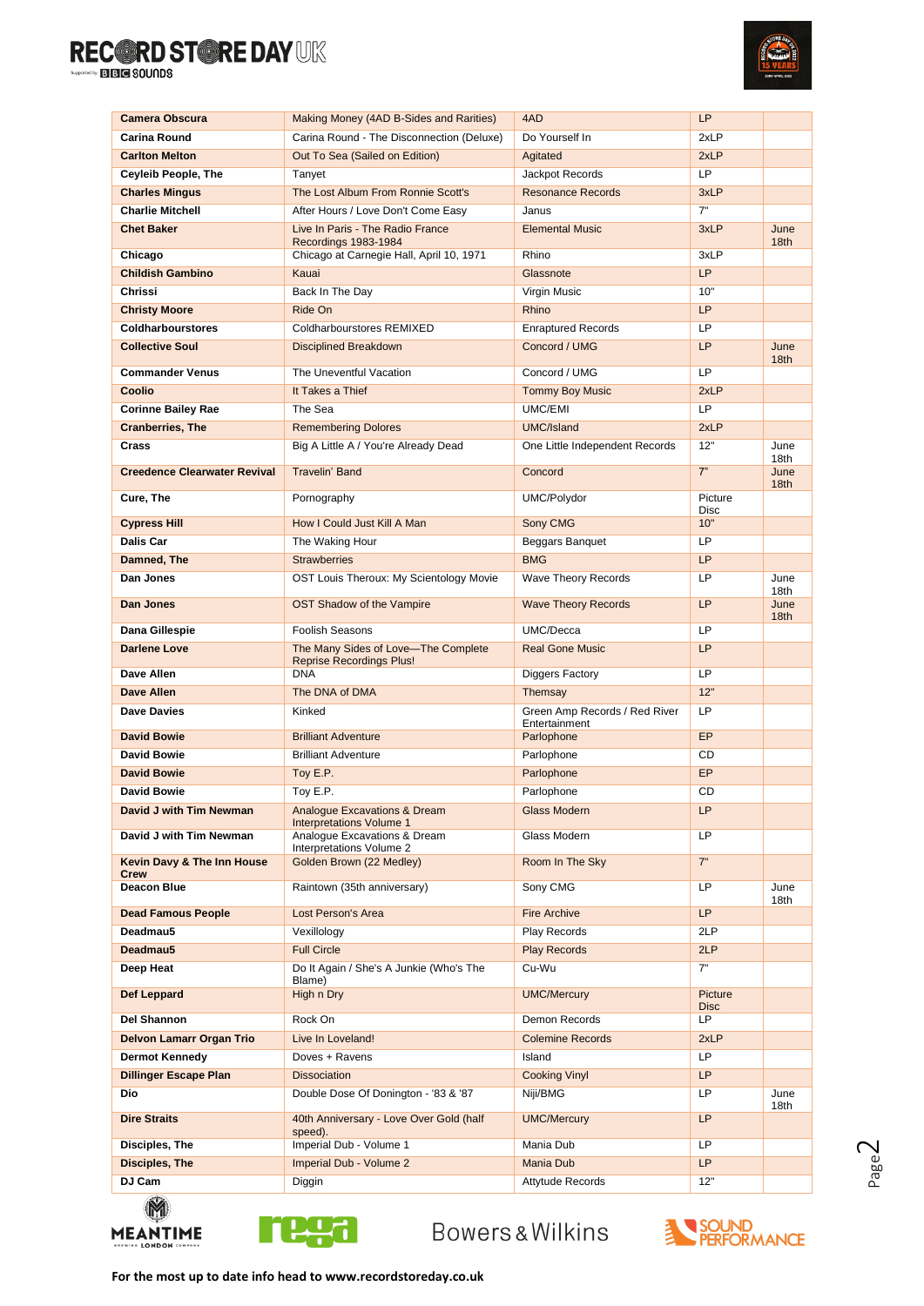

| Camera Obscura                      | Making Money (4AD B-Sides and Rarities)                                    | 4AD                                               | LP                     |                          |
|-------------------------------------|----------------------------------------------------------------------------|---------------------------------------------------|------------------------|--------------------------|
| Carina Round                        | Carina Round - The Disconnection (Deluxe)                                  | Do Yourself In                                    | 2xLP                   |                          |
| <b>Carlton Melton</b>               | Out To Sea (Sailed on Edition)                                             | Agitated                                          | 2xLP                   |                          |
| <b>Ceyleib People, The</b>          | Tanyet                                                                     | Jackpot Records                                   | LP                     |                          |
| <b>Charles Mingus</b>               | The Lost Album From Ronnie Scott's                                         | <b>Resonance Records</b>                          | 3xLP                   |                          |
| <b>Charlie Mitchell</b>             | After Hours / Love Don't Come Easy                                         | Janus                                             | 7"                     |                          |
| <b>Chet Baker</b>                   | Live In Paris - The Radio France<br>Recordings 1983-1984                   | <b>Elemental Music</b>                            | 3xLP                   | June<br>18 <sub>th</sub> |
| Chicago                             | Chicago at Carnegie Hall, April 10, 1971                                   | Rhino                                             | 3xLP                   |                          |
| <b>Childish Gambino</b>             | Kauai                                                                      | Glassnote                                         | <b>LP</b>              |                          |
| Chrissi                             | Back In The Day                                                            | Virgin Music                                      | 10"                    |                          |
| <b>Christy Moore</b>                | Ride On                                                                    | Rhino                                             | <b>LP</b>              |                          |
| <b>Coldharbourstores</b>            | <b>Coldharbourstores REMIXED</b>                                           | <b>Enraptured Records</b>                         | LP                     |                          |
| <b>Collective Soul</b>              | <b>Disciplined Breakdown</b>                                               | Concord / UMG                                     | <b>LP</b>              | June<br>18 <sub>th</sub> |
| <b>Commander Venus</b>              | The Uneventful Vacation                                                    | Concord / UMG                                     | LP                     |                          |
| Coolio                              | It Takes a Thief                                                           | <b>Tommy Boy Music</b>                            | 2xLP                   |                          |
| <b>Corinne Bailey Rae</b>           | The Sea                                                                    | UMC/EMI                                           | LP                     |                          |
| <b>Cranberries, The</b>             | <b>Remembering Dolores</b>                                                 | UMC/Island                                        | 2xLP                   |                          |
| Crass                               | Big A Little A / You're Already Dead                                       | One Little Independent Records                    | 12"                    | June                     |
| <b>Creedence Clearwater Revival</b> | <b>Travelin' Band</b>                                                      | Concord                                           | 7"                     | 18th<br>June             |
| Cure, The                           | Pornography                                                                | UMC/Polydor                                       | Picture                | 18th                     |
| <b>Cypress Hill</b>                 | How I Could Just Kill A Man                                                |                                                   | Disc<br>10"            |                          |
|                                     |                                                                            | Sony CMG                                          | LP                     |                          |
| <b>Dalis Car</b>                    | The Waking Hour                                                            | Beggars Banquet                                   |                        |                          |
| Damned, The                         | <b>Strawberries</b>                                                        | <b>BMG</b>                                        | <b>LP</b>              |                          |
| Dan Jones<br>Dan Jones              | OST Louis Theroux: My Scientology Movie<br>OST Shadow of the Vampire       | Wave Theory Records<br><b>Wave Theory Records</b> | LP<br><b>LP</b>        | June<br>18th<br>June     |
|                                     |                                                                            |                                                   |                        | 18 <sub>th</sub>         |
| Dana Gillespie                      | <b>Foolish Seasons</b>                                                     | UMC/Decca                                         | LP                     |                          |
| <b>Darlene Love</b>                 | The Many Sides of Love-The Complete<br><b>Reprise Recordings Plus!</b>     | <b>Real Gone Music</b>                            | <b>LP</b>              |                          |
| Dave Allen                          | <b>DNA</b>                                                                 | Diggers Factory                                   | LP                     |                          |
| Dave Allen                          | The DNA of DMA                                                             | Themsay                                           | 12"                    |                          |
| Dave Davies                         | Kinked                                                                     | Green Amp Records / Red River<br>Entertainment    | LP                     |                          |
| <b>David Bowie</b>                  | <b>Brilliant Adventure</b>                                                 | Parlophone                                        | EP                     |                          |
| <b>David Bowie</b>                  | <b>Brilliant Adventure</b>                                                 | Parlophone                                        | CD                     |                          |
| <b>David Bowie</b>                  | Toy E.P.                                                                   | Parlophone                                        | EP                     |                          |
| <b>David Bowie</b>                  | Toy E.P.                                                                   | Parlophone                                        | CD                     |                          |
| David J with Tim Newman             | <b>Analogue Excavations &amp; Dream</b><br><b>Interpretations Volume 1</b> | <b>Glass Modern</b>                               | LP                     |                          |
| David J with Tim Newman             | Analogue Excavations & Dream<br>Interpretations Volume 2                   | Glass Modern                                      | LP                     |                          |
| Kevin Davy & The Inn House<br>Crew  | Golden Brown (22 Medley)                                                   | Room In The Sky                                   | 7"                     |                          |
| Deacon Blue                         | Raintown (35th anniversary)                                                | Sony CMG                                          | LP                     | June<br>18th             |
| <b>Dead Famous People</b>           | Lost Person's Area                                                         | <b>Fire Archive</b>                               | <b>LP</b>              |                          |
| Deadmau5                            | Vexillology                                                                | Play Records                                      | 2LP                    |                          |
| Deadmau5                            | <b>Full Circle</b>                                                         | <b>Play Records</b>                               | 2LP                    |                          |
| Deep Heat                           | Do It Again / She's A Junkie (Who's The                                    | Cu-Wu                                             | 7"                     |                          |
|                                     | Blame)                                                                     |                                                   |                        |                          |
| Def Leppard                         | High n Dry                                                                 | <b>UMC/Mercury</b>                                | Picture<br><b>Disc</b> |                          |
| Del Shannon                         | Rock On                                                                    | Demon Records                                     | LP                     |                          |
| <b>Delvon Lamarr Organ Trio</b>     | Live In Loveland!                                                          | <b>Colemine Records</b>                           | 2xLP                   |                          |
| <b>Dermot Kennedy</b>               | Doves + Ravens                                                             | Island                                            | LP                     |                          |
| <b>Dillinger Escape Plan</b>        | <b>Dissociation</b>                                                        | <b>Cooking Vinyl</b>                              | <b>LP</b>              |                          |
| Dio                                 | Double Dose Of Donington - '83 & '87                                       | Niji/BMG                                          | LP                     | June                     |
| <b>Dire Straits</b>                 | 40th Anniversary - Love Over Gold (half<br>speed).                         | <b>UMC/Mercury</b>                                | <b>LP</b>              | 18th                     |
| Disciples, The                      | Imperial Dub - Volume 1                                                    | Mania Dub                                         | <b>LP</b>              |                          |
| Disciples, The                      | Imperial Dub - Volume 2                                                    | <b>Mania Dub</b>                                  | <b>LP</b>              |                          |
| DJ Cam                              | Diggin                                                                     | Attytude Records                                  | 12"                    |                          |
| $\mathbb{Z}$                        |                                                                            |                                                   |                        |                          |





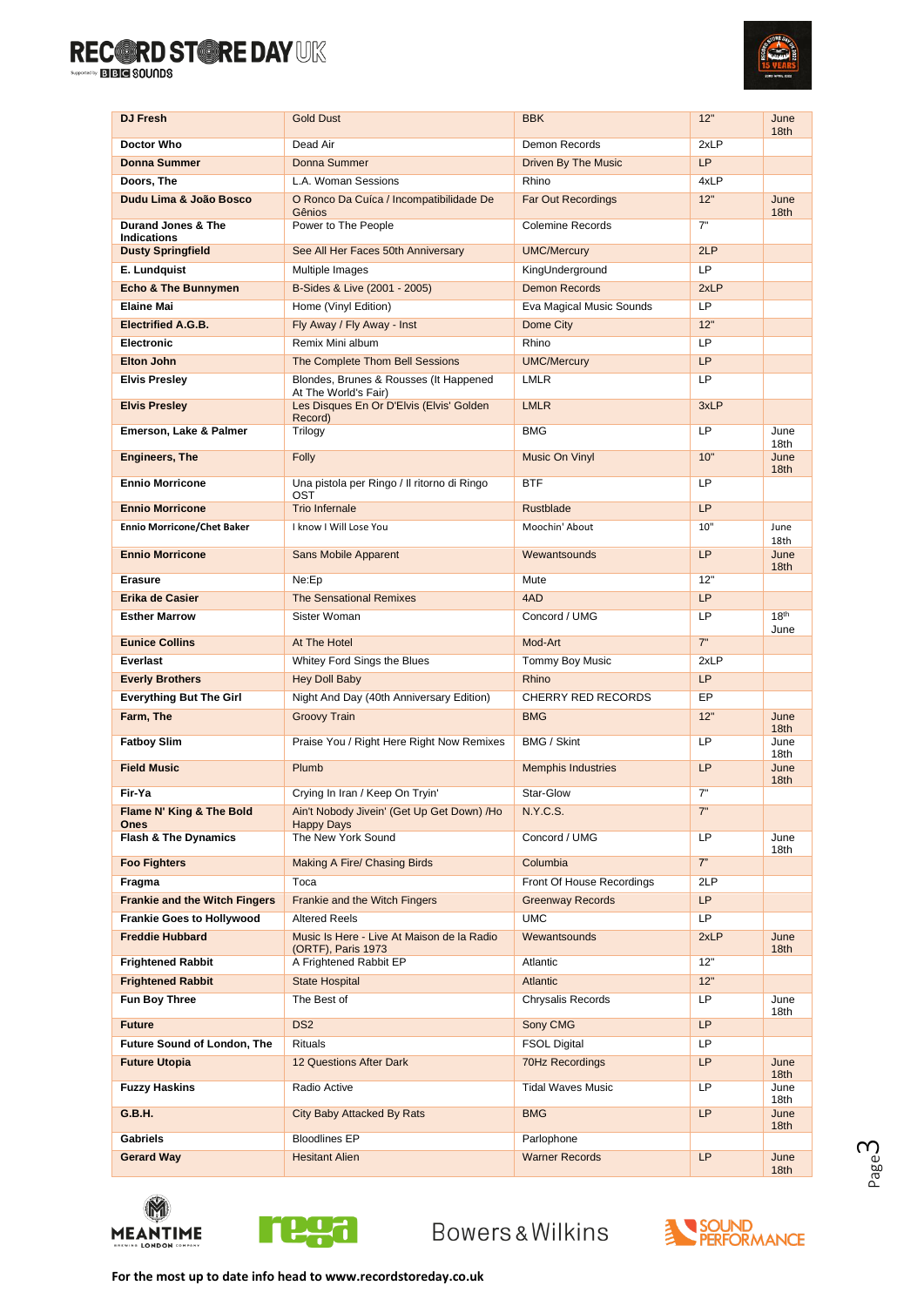

| <b>DJ Fresh</b>                          | <b>Gold Dust</b>                                                 | <b>BBK</b>                 | 12"       | June<br>18 <sub>th</sub> |
|------------------------------------------|------------------------------------------------------------------|----------------------------|-----------|--------------------------|
| Doctor Who                               | Dead Air                                                         | Demon Records              | 2xLP      |                          |
| <b>Donna Summer</b>                      | Donna Summer                                                     | <b>Driven By The Music</b> | <b>LP</b> |                          |
| Doors, The                               | L.A. Woman Sessions                                              | Rhino                      | 4xLP      |                          |
| Dudu Lima & João Bosco                   | O Ronco Da Cuíca / Incompatibilidade De<br>Gênios                | <b>Far Out Recordings</b>  | 12"       | June<br>18 <sub>th</sub> |
| Durand Jones & The<br><b>Indications</b> | Power to The People                                              | Colemine Records           | 7"        |                          |
| <b>Dusty Springfield</b>                 | See All Her Faces 50th Anniversary                               | <b>UMC/Mercury</b>         | 2LP       |                          |
| E. Lundquist                             | Multiple Images                                                  | KingUnderground            | LP        |                          |
| <b>Echo &amp; The Bunnymen</b>           | B-Sides & Live (2001 - 2005)                                     | <b>Demon Records</b>       | 2xLP      |                          |
| <b>Elaine Mai</b>                        | Home (Vinyl Edition)                                             | Eva Magical Music Sounds   | LP        |                          |
| <b>Electrified A.G.B.</b>                | Fly Away / Fly Away - Inst                                       | Dome City                  | 12"       |                          |
| Electronic                               | Remix Mini album                                                 | Rhino                      | LP        |                          |
| <b>Elton John</b>                        | The Complete Thom Bell Sessions                                  | <b>UMC/Mercury</b>         | LP        |                          |
| <b>Elvis Presley</b>                     | Blondes, Brunes & Rousses (It Happened<br>At The World's Fair)   | <b>LMLR</b>                | LP        |                          |
| <b>Elvis Presley</b>                     | Les Disques En Or D'Elvis (Elvis' Golden<br>Record)              | <b>LMLR</b>                | 3xLP      |                          |
| <b>Emerson, Lake &amp; Palmer</b>        | Trilogy                                                          | <b>BMG</b>                 | LP        | June<br>18th             |
| <b>Engineers, The</b>                    | Folly                                                            | Music On Vinyl             | 10"       | June<br>18th             |
| <b>Ennio Morricone</b>                   | Una pistola per Ringo / Il ritorno di Ringo<br>OST               | <b>BTF</b>                 | LP        |                          |
| <b>Ennio Morricone</b>                   | <b>Trio Infernale</b>                                            | <b>Rustblade</b>           | LP        |                          |
| <b>Ennio Morricone/Chet Baker</b>        | I know I Will Lose You                                           | Moochin' About             | 10"       | June<br>18th             |
| <b>Ennio Morricone</b>                   | <b>Sans Mobile Apparent</b>                                      | Wewantsounds               | <b>LP</b> | June<br>18th             |
| <b>Erasure</b>                           | Ne:Ep                                                            | Mute                       | 12"       |                          |
| Erika de Casier                          | <b>The Sensational Remixes</b>                                   | 4AD                        | <b>LP</b> |                          |
| <b>Esther Marrow</b>                     | Sister Woman                                                     | Concord / UMG              | LP        | 18 <sup>th</sup><br>June |
| <b>Eunice Collins</b>                    | At The Hotel                                                     | Mod-Art                    | 7"        |                          |
| Everlast                                 | Whitey Ford Sings the Blues                                      | Tommy Boy Music            | 2xLP      |                          |
| <b>Everly Brothers</b>                   | <b>Hey Doll Baby</b>                                             | Rhino                      | <b>LP</b> |                          |
| <b>Everything But The Girl</b>           | Night And Day (40th Anniversary Edition)                         | <b>CHERRY RED RECORDS</b>  | EP        |                          |
| Farm, The                                | <b>Groovy Train</b>                                              | <b>BMG</b>                 | 12"       | June<br>18 <sub>th</sub> |
| <b>Fatboy Slim</b>                       | Praise You / Right Here Right Now Remixes                        | <b>BMG / Skint</b>         | LP        | June<br>18th             |
| <b>Field Music</b>                       | Plumb                                                            | <b>Memphis Industries</b>  | LP        | June<br>18 <sub>th</sub> |
| Fir-Ya                                   | Crying In Iran / Keep On Tryin'                                  | Star-Glow                  | 7"        |                          |
| Flame N' King & The Bold<br>Ones         | Ain't Nobody Jivein' (Get Up Get Down) /Ho<br><b>Happy Days</b>  | N.Y.C.S.                   | 7"        |                          |
| <b>Flash &amp; The Dynamics</b>          | The New York Sound                                               | Concord / UMG              | LP        | June<br>18th             |
| <b>Foo Fighters</b>                      | Making A Fire/ Chasing Birds                                     | Columbia                   | 7"        |                          |
| Fragma                                   | Toca                                                             | Front Of House Recordings  | 2LP       |                          |
| <b>Frankie and the Witch Fingers</b>     | Frankie and the Witch Fingers                                    | <b>Greenway Records</b>    | <b>LP</b> |                          |
| <b>Frankie Goes to Hollywood</b>         | <b>Altered Reels</b>                                             | <b>UMC</b>                 | <b>LP</b> |                          |
| <b>Freddie Hubbard</b>                   | Music Is Here - Live At Maison de la Radio<br>(ORTF), Paris 1973 | Wewantsounds               | 2xLP      | June<br>18th             |
| <b>Frightened Rabbit</b>                 | A Frightened Rabbit EP                                           | Atlantic                   | 12"       |                          |
| <b>Frightened Rabbit</b>                 | <b>State Hospital</b>                                            | Atlantic                   | 12"       |                          |
| Fun Boy Three                            | The Best of                                                      | Chrysalis Records          | LP        | June<br>18th             |
| <b>Future</b>                            | DS <sub>2</sub>                                                  | Sony CMG                   | <b>LP</b> |                          |
| <b>Future Sound of London, The</b>       | <b>Rituals</b>                                                   | <b>FSOL Digital</b>        | LP.       |                          |
| <b>Future Utopia</b>                     | 12 Questions After Dark                                          | 70Hz Recordings            | LP        | June<br>18 <sub>th</sub> |
| <b>Fuzzy Haskins</b>                     | Radio Active                                                     | <b>Tidal Waves Music</b>   | LP        | June<br>18th             |
| G.B.H.                                   | City Baby Attacked By Rats                                       | <b>BMG</b>                 | <b>LP</b> | June<br>18th             |
| <b>Gabriels</b>                          | <b>Bloodlines EP</b>                                             | Parlophone                 |           |                          |
| <b>Gerard Way</b>                        | <b>Hesitant Alien</b>                                            | <b>Warner Records</b>      | LP        | June<br>18 <sub>th</sub> |





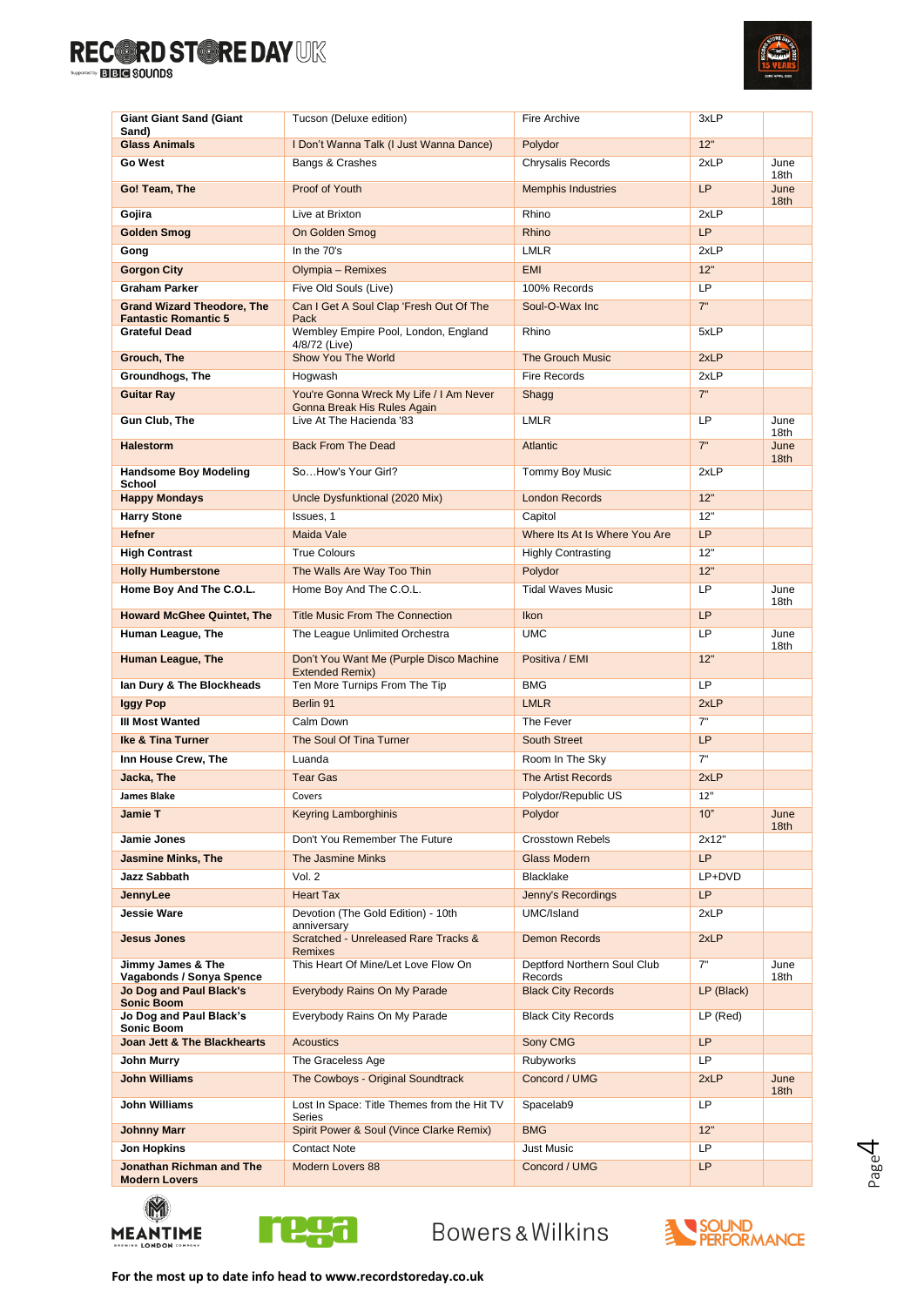

| <b>Giant Giant Sand (Giant</b>                      | Tucson (Deluxe edition)                                                | Fire Archive                           | 3xLP       |                          |
|-----------------------------------------------------|------------------------------------------------------------------------|----------------------------------------|------------|--------------------------|
| Sand)<br><b>Glass Animals</b>                       | I Don't Wanna Talk (I Just Wanna Dance)                                | Polydor                                | 12"        |                          |
| Go West                                             | Bangs & Crashes                                                        | Chrysalis Records                      | 2xLP       | June                     |
| Go! Team, The                                       | Proof of Youth                                                         | <b>Memphis Industries</b>              | <b>LP</b>  | 18th<br>June             |
| Gojira                                              | Live at Brixton                                                        | Rhino                                  | 2xLP       | 18 <sub>th</sub>         |
| Golden Smog                                         | On Golden Smog                                                         | Rhino                                  | <b>LP</b>  |                          |
| Gong                                                | In the 70's                                                            | <b>LMLR</b>                            | 2xLP       |                          |
| <b>Gorgon City</b>                                  | Olympia - Remixes                                                      | <b>EMI</b>                             | 12"        |                          |
| Graham Parker                                       | Five Old Souls (Live)                                                  | 100% Records                           | LP         |                          |
| <b>Grand Wizard Theodore, The</b>                   | Can I Get A Soul Clap 'Fresh Out Of The                                | Soul-O-Wax Inc.                        | 7"         |                          |
| <b>Fantastic Romantic 5</b><br><b>Grateful Dead</b> | Pack<br>Wembley Empire Pool, London, England                           | Rhino                                  | 5xLP       |                          |
|                                                     | 4/8/72 (Live)                                                          |                                        |            |                          |
| Grouch, The                                         | Show You The World                                                     | <b>The Grouch Music</b>                | 2xLP       |                          |
| Groundhogs, The                                     | Hogwash                                                                | <b>Fire Records</b>                    | 2xLP       |                          |
| <b>Guitar Ray</b>                                   | You're Gonna Wreck My Life / I Am Never<br>Gonna Break His Rules Again | Shagg                                  | 7"         |                          |
| Gun Club, The                                       | Live At The Hacienda '83                                               | <b>LMLR</b>                            | LP         | June                     |
| <b>Halestorm</b>                                    | <b>Back From The Dead</b>                                              | Atlantic                               | 7"         | 18th<br>June             |
|                                                     |                                                                        |                                        |            | 18th                     |
| <b>Handsome Boy Modeling</b><br>School              | SoHow's Your Girl?                                                     | Tommy Boy Music                        | 2xLP       |                          |
| <b>Happy Mondays</b>                                | Uncle Dysfunktional (2020 Mix)                                         | <b>London Records</b>                  | 12"        |                          |
| <b>Harry Stone</b>                                  | Issues. 1                                                              | Capitol                                | 12"        |                          |
| <b>Hefner</b>                                       | Maida Vale                                                             | Where Its At Is Where You Are          | <b>LP</b>  |                          |
| <b>High Contrast</b>                                | <b>True Colours</b>                                                    | <b>Highly Contrasting</b>              | 12"        |                          |
| <b>Holly Humberstone</b>                            | The Walls Are Way Too Thin                                             | Polydor                                | 12"        |                          |
| Home Boy And The C.O.L.                             | Home Boy And The C.O.L.                                                | <b>Tidal Waves Music</b>               | LP         | June<br>18th             |
| <b>Howard McGhee Quintet, The</b>                   | <b>Title Music From The Connection</b>                                 | Ikon                                   | LP         |                          |
| Human League, The                                   | The League Unlimited Orchestra                                         | <b>UMC</b>                             | LP         | June<br>18th             |
| <b>Human League, The</b>                            | Don't You Want Me (Purple Disco Machine<br><b>Extended Remix)</b>      | Positiva / EMI                         | 12"        |                          |
| lan Dury & The Blockheads                           | Ten More Turnips From The Tip                                          | <b>BMG</b>                             | <b>LP</b>  |                          |
| Iggy Pop                                            | Berlin 91                                                              | <b>LMLR</b>                            | 2xLP       |                          |
| <b>III Most Wanted</b>                              | Calm Down                                                              | The Fever                              | 7"         |                          |
| <b>Ike &amp; Tina Turner</b>                        | The Soul Of Tina Turner                                                | South Street                           | <b>LP</b>  |                          |
| Inn House Crew, The                                 | Luanda                                                                 | Room In The Sky                        | 7"         |                          |
| Jacka, The                                          | <b>Tear Gas</b>                                                        | <b>The Artist Records</b>              | 2xLP       |                          |
| <b>James Blake</b>                                  | Covers                                                                 | Polydor/Republic US                    | 12"        |                          |
| <b>Jamie T</b>                                      | <b>Keyring Lamborghinis</b>                                            | Polydor                                | 10"        | June<br>18th             |
| Jamie Jones                                         | Don't You Remember The Future                                          | <b>Crosstown Rebels</b>                | 2x12"      |                          |
| <b>Jasmine Minks, The</b>                           | The Jasmine Minks                                                      | Glass Modern                           | LP         |                          |
| Jazz Sabbath                                        | Vol. 2                                                                 | Blacklake                              | LP+DVD     |                          |
| JennyLee                                            | <b>Heart Tax</b>                                                       | Jenny's Recordings                     | <b>LP</b>  |                          |
| <b>Jessie Ware</b>                                  | Devotion (The Gold Edition) - 10th<br>anniversary                      | UMC/Island                             | 2xLP       |                          |
| <b>Jesus Jones</b>                                  | Scratched - Unreleased Rare Tracks &<br><b>Remixes</b>                 | <b>Demon Records</b>                   | 2xLP       |                          |
| Jimmy James & The<br>Vagabonds / Sonya Spence       | This Heart Of Mine/Let Love Flow On                                    | Deptford Northern Soul Club<br>Records | 7"         | June<br>18th             |
| Jo Dog and Paul Black's<br><b>Sonic Boom</b>        | Everybody Rains On My Parade                                           | <b>Black City Records</b>              | LP (Black) |                          |
| Jo Dog and Paul Black's<br>Sonic Boom               | Everybody Rains On My Parade                                           | <b>Black City Records</b>              | LP (Red)   |                          |
| Joan Jett & The Blackhearts                         | <b>Acoustics</b>                                                       | Sony CMG                               | <b>LP</b>  |                          |
| John Murry                                          | The Graceless Age                                                      | Rubyworks                              | <b>LP</b>  |                          |
| <b>John Williams</b>                                | The Cowboys - Original Soundtrack                                      | Concord / UMG                          | 2xLP       | June<br>18 <sub>th</sub> |
| John Williams                                       | Lost In Space: Title Themes from the Hit TV<br>Series                  | Spacelab9                              | LP         |                          |
| <b>Johnny Marr</b>                                  | Spirit Power & Soul (Vince Clarke Remix)                               | <b>BMG</b>                             | 12"        |                          |
| Jon Hopkins                                         | <b>Contact Note</b>                                                    | <b>Just Music</b>                      | LP         |                          |
| Jonathan Richman and The<br><b>Modern Lovers</b>    | <b>Modern Lovers 88</b>                                                | Concord / UMG                          | LP         |                          |
|                                                     |                                                                        |                                        |            |                          |





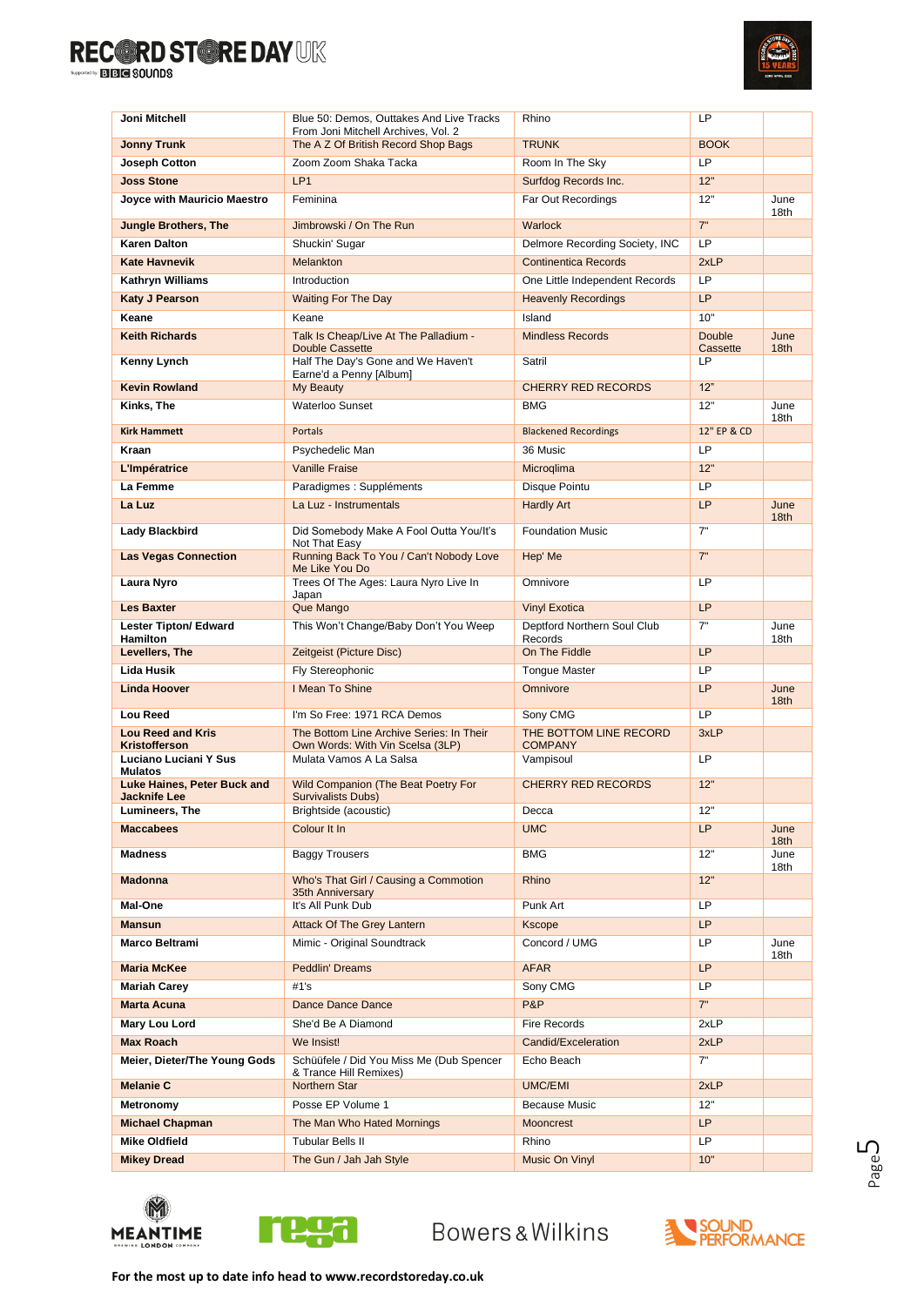

| Joni Mitchell                                    | Blue 50: Demos, Outtakes And Live Tracks                                                              | Rhino                                    | LP                       |                          |
|--------------------------------------------------|-------------------------------------------------------------------------------------------------------|------------------------------------------|--------------------------|--------------------------|
| <b>Jonny Trunk</b>                               | From Joni Mitchell Archives, Vol. 2<br>The A Z Of British Record Shop Bags                            | <b>TRUNK</b>                             | <b>BOOK</b>              |                          |
| <b>Joseph Cotton</b>                             | Zoom Zoom Shaka Tacka                                                                                 | Room In The Sky                          | LP                       |                          |
| <b>Joss Stone</b>                                | LP <sub>1</sub>                                                                                       | Surfdog Records Inc.                     | 12"                      |                          |
| Joyce with Mauricio Maestro                      | Feminina                                                                                              | Far Out Recordings                       | 12"                      | June                     |
|                                                  | Jimbrowski / On The Run                                                                               |                                          | 7"                       | 18th                     |
| <b>Jungle Brothers, The</b>                      |                                                                                                       | <b>Warlock</b>                           |                          |                          |
| <b>Karen Dalton</b>                              | Shuckin' Sugar                                                                                        | Delmore Recording Society, INC           | LP                       |                          |
| <b>Kate Havnevik</b>                             | Melankton                                                                                             | <b>Continentica Records</b>              | 2xLP                     |                          |
| <b>Kathryn Williams</b>                          | Introduction                                                                                          | One Little Independent Records           | LP                       |                          |
| <b>Katy J Pearson</b>                            | <b>Waiting For The Day</b>                                                                            | <b>Heavenly Recordings</b>               | <b>LP</b>                |                          |
| Keane                                            | Keane                                                                                                 | Island                                   | 10"                      |                          |
| <b>Keith Richards</b>                            | Talk Is Cheap/Live At The Palladium -<br><b>Double Cassette</b><br>Half The Day's Gone and We Haven't | <b>Mindless Records</b><br>Satril        | Double<br>Cassette<br>LP | June<br>18 <sub>th</sub> |
| Kenny Lynch                                      | Earne'd a Penny [Album]                                                                               |                                          |                          |                          |
| <b>Kevin Rowland</b>                             | My Beauty                                                                                             | <b>CHERRY RED RECORDS</b>                | 12"                      |                          |
| Kinks, The                                       | Waterloo Sunset                                                                                       | <b>BMG</b>                               | 12"                      | June<br>18th             |
| <b>Kirk Hammett</b>                              | <b>Portals</b>                                                                                        | <b>Blackened Recordings</b>              | 12" EP & CD              |                          |
| Kraan                                            | Psychedelic Man                                                                                       | 36 Music                                 | LP                       |                          |
| L'Impératrice                                    | <b>Vanille Fraise</b>                                                                                 | Microglima                               | 12"                      |                          |
| La Femme                                         | Paradigmes : Suppléments                                                                              | Disque Pointu                            | LP                       |                          |
| La Luz                                           | La Luz - Instrumentals                                                                                | <b>Hardly Art</b>                        | LP                       | June<br>18 <sub>th</sub> |
| Lady Blackbird                                   | Did Somebody Make A Fool Outta You/It's<br>Not That Easy                                              | <b>Foundation Music</b>                  | 7"                       |                          |
| <b>Las Vegas Connection</b>                      | Running Back To You / Can't Nobody Love<br>Me Like You Do                                             | Hep' Me                                  | 7"                       |                          |
| Laura Nyro                                       | Trees Of The Ages: Laura Nyro Live In<br>Japan                                                        | Omnivore                                 | LP                       |                          |
| <b>Les Baxter</b>                                | Que Mango                                                                                             | <b>Vinyl Exotica</b>                     | LP                       |                          |
| <b>Lester Tipton/ Edward</b><br>Hamilton         | This Won't Change/Baby Don't You Weep                                                                 | Deptford Northern Soul Club<br>Records   | 7"                       | June<br>18th             |
| Levellers, The                                   | Zeitgeist (Picture Disc)                                                                              | On The Fiddle                            | LP                       |                          |
| Lida Husik                                       | Fly Stereophonic                                                                                      | <b>Tongue Master</b>                     | LP                       |                          |
| <b>Linda Hoover</b>                              | I Mean To Shine                                                                                       | Omnivore                                 | LP                       | June<br>18th             |
| Lou Reed                                         | I'm So Free: 1971 RCA Demos                                                                           | Sony CMG                                 | LP                       |                          |
| <b>Lou Reed and Kris</b><br><b>Kristofferson</b> | The Bottom Line Archive Series: In Their<br>Own Words: With Vin Scelsa (3LP)                          | THE BOTTOM LINE RECORD<br><b>COMPANY</b> | 3xLP                     |                          |
| Luciano Luciani Y Sus<br><b>Mulatos</b>          | Mulata Vamos A La Salsa                                                                               | Vampisoul                                | LP                       |                          |
| <b>Luke Haines, Peter Buck and</b>               | <b>Wild Companion (The Beat Poetry For</b>                                                            | <b>CHERRY RED RECORDS</b>                | 12"                      |                          |
| <b>Jacknife Lee</b><br>Lumineers, The            | <b>Survivalists Dubs)</b><br>Brightside (acoustic)                                                    | Decca                                    | 12"                      |                          |
| <b>Maccabees</b>                                 | Colour It In                                                                                          | <b>UMC</b>                               | <b>LP</b>                | June                     |
|                                                  |                                                                                                       |                                          |                          | 18 <sub>th</sub>         |
| <b>Madness</b>                                   | <b>Baggy Trousers</b>                                                                                 | <b>BMG</b>                               | 12"                      | June<br>18th             |
| <b>Madonna</b>                                   | Who's That Girl / Causing a Commotion<br>35th Anniversary                                             | Rhino                                    | 12"                      |                          |
| Mal-One                                          | It's All Punk Dub                                                                                     | Punk Art                                 | LP                       |                          |
| <b>Mansun</b>                                    | <b>Attack Of The Grey Lantern</b>                                                                     | <b>Kscope</b>                            | <b>LP</b>                |                          |
| Marco Beltrami                                   | Mimic - Original Soundtrack                                                                           | Concord / UMG                            | LP                       | June<br>18th             |
| <b>Maria McKee</b>                               | <b>Peddlin' Dreams</b>                                                                                | <b>AFAR</b>                              | LP                       |                          |
| <b>Mariah Carey</b>                              | #1's                                                                                                  | Sony CMG                                 | LP                       |                          |
| <b>Marta Acuna</b>                               | Dance Dance Dance                                                                                     | P&P                                      | 7"                       |                          |
| Mary Lou Lord                                    | She'd Be A Diamond                                                                                    | <b>Fire Records</b>                      | 2xLP                     |                          |
| <b>Max Roach</b>                                 | We Insist!                                                                                            | Candid/Exceleration                      | 2xLP                     |                          |
| Meier, Dieter/The Young Gods                     | Schüüfele / Did You Miss Me (Dub Spencer<br>& Trance Hill Remixes)                                    | Echo Beach                               | 7"                       |                          |
| <b>Melanie C</b>                                 | Northern Star                                                                                         | <b>UMC/EMI</b>                           | 2xLP                     |                          |
| Metronomy                                        | Posse EP Volume 1                                                                                     | <b>Because Music</b>                     | 12"                      |                          |
| <b>Michael Chapman</b>                           | The Man Who Hated Mornings                                                                            | <b>Mooncrest</b>                         | <b>LP</b>                |                          |
| <b>Mike Oldfield</b>                             | <b>Tubular Bells II</b>                                                                               | Rhino                                    | LP                       |                          |
| <b>Mikey Dread</b>                               | The Gun / Jah Jah Style                                                                               | Music On Vinyl                           | 10"                      |                          |





Bowers&Wilkins



PageJ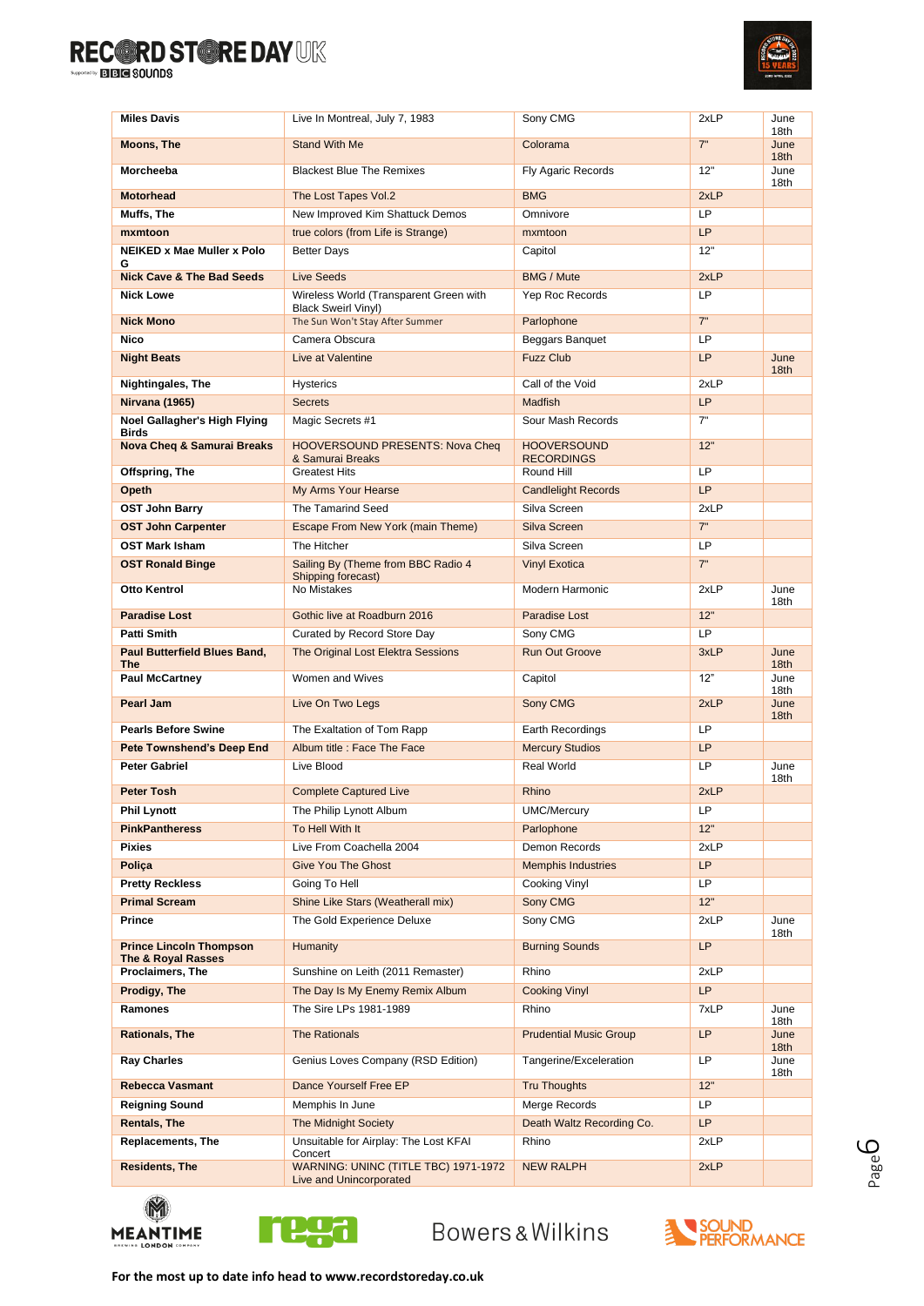

| <b>Miles Davis</b>                                   | Live In Montreal, July 7, 1983                                       | Sony CMG                                | 2xLP        | June<br>18th             |
|------------------------------------------------------|----------------------------------------------------------------------|-----------------------------------------|-------------|--------------------------|
| <b>Moons, The</b>                                    | <b>Stand With Me</b>                                                 | Colorama                                | 7"          | June<br>18 <sub>th</sub> |
| Morcheeba                                            | <b>Blackest Blue The Remixes</b>                                     | Fly Agaric Records                      | 12"         | June<br>18th             |
| <b>Motorhead</b>                                     | The Lost Tapes Vol.2                                                 | <b>BMG</b>                              | 2xLP        |                          |
| Muffs, The                                           | New Improved Kim Shattuck Demos                                      | Omnivore                                | LP          |                          |
| mxmtoon                                              | true colors (from Life is Strange)                                   | mxmtoon                                 | LP          |                          |
| <b>NEIKED x Mae Muller x Polo</b><br>G               | <b>Better Days</b>                                                   | Capitol                                 | 12"         |                          |
| <b>Nick Cave &amp; The Bad Seeds</b>                 | <b>Live Seeds</b>                                                    | <b>BMG / Mute</b>                       | 2xLP        |                          |
| <b>Nick Lowe</b>                                     | Wireless World (Transparent Green with<br><b>Black Sweirl Vinyl)</b> | Yep Roc Records                         | LP          |                          |
| <b>Nick Mono</b>                                     | The Sun Won't Stay After Summer                                      | Parlophone                              | 7"          |                          |
| <b>Nico</b>                                          | Camera Obscura                                                       | Beggars Banquet                         | LP          |                          |
| <b>Night Beats</b>                                   | Live at Valentine                                                    | <b>Fuzz Club</b>                        | <b>LP</b>   | June<br>18 <sub>th</sub> |
| Nightingales, The                                    | <b>Hysterics</b>                                                     | Call of the Void                        | 2xLP        |                          |
| Nirvana (1965)                                       | <b>Secrets</b>                                                       | <b>Madfish</b>                          | <b>LP</b>   |                          |
| Noel Gallagher's High Flying<br>Birds                | Magic Secrets #1                                                     | Sour Mash Records                       | 7"          |                          |
| <b>Nova Cheq &amp; Samurai Breaks</b>                | <b>HOOVERSOUND PRESENTS: Nova Cheq</b><br>& Samurai Breaks           | <b>HOOVERSOUND</b><br><b>RECORDINGS</b> | 12"         |                          |
| Offspring, The                                       | <b>Greatest Hits</b>                                                 | Round Hill                              | LP          |                          |
| Opeth                                                | My Arms Your Hearse                                                  | <b>Candlelight Records</b>              | <b>LP</b>   |                          |
| <b>OST John Barry</b>                                | The Tamarind Seed                                                    | Silva Screen                            | 2xLP        |                          |
| <b>OST John Carpenter</b>                            | Escape From New York (main Theme)                                    | Silva Screen                            | 7"          |                          |
| <b>OST Mark Isham</b>                                | The Hitcher                                                          | Silva Screen                            | LP          |                          |
| <b>OST Ronald Binge</b>                              | Sailing By (Theme from BBC Radio 4<br>Shipping forecast)             | <b>Vinyl Exotica</b>                    | 7"          |                          |
| Otto Kentrol                                         | No Mistakes                                                          | Modern Harmonic                         | 2xLP        | June<br>18th             |
| <b>Paradise Lost</b>                                 | Gothic live at Roadburn 2016                                         | Paradise Lost                           | 12"         |                          |
| Patti Smith                                          | Curated by Record Store Day                                          | Sony CMG                                | LP          |                          |
| <b>Paul Butterfield Blues Band,</b><br>The           | The Original Lost Elektra Sessions                                   | <b>Run Out Groove</b>                   | 3xLP        | June<br>18 <sub>th</sub> |
| <b>Paul McCartney</b>                                | Women and Wives                                                      | Capitol                                 | 12"         | June<br>18th             |
| Pearl Jam                                            | Live On Two Legs                                                     | Sony CMG                                | 2xLP        | June<br>18 <sub>th</sub> |
| <b>Pearls Before Swine</b>                           | The Exaltation of Tom Rapp                                           | Earth Recordings                        | LP          |                          |
| <b>Pete Townshend's Deep End</b>                     | Album title : Face The Face                                          | <b>Mercury Studios</b>                  | <b>LP</b>   |                          |
| <b>Peter Gabriel</b><br><b>Peter Tosh</b>            | Live Blood                                                           | Real World                              | LP          | June<br>18th             |
|                                                      | <b>Complete Captured Live</b>                                        | Rhino                                   | 2xLP        |                          |
| <b>Phil Lynott</b>                                   | The Philip Lynott Album                                              | <b>UMC/Mercury</b>                      | LP          |                          |
| <b>PinkPantheress</b><br><b>Pixies</b>               | To Hell With It<br>Live From Coachella 2004                          | Parlophone<br>Demon Records             | 12"<br>2xLP |                          |
| Poliça                                               | <b>Give You The Ghost</b>                                            | <b>Memphis Industries</b>               | LP          |                          |
|                                                      | Going To Hell                                                        |                                         | LP          |                          |
| <b>Pretty Reckless</b><br><b>Primal Scream</b>       | Shine Like Stars (Weatherall mix)                                    | Cooking Vinyl<br>Sony CMG               | 12"         |                          |
| Prince                                               | The Gold Experience Deluxe                                           | Sony CMG                                | 2xLP        | June                     |
| <b>Prince Lincoln Thompson</b><br>The & Royal Rasses | Humanity                                                             | <b>Burning Sounds</b>                   | <b>LP</b>   | 18th                     |
| Proclaimers, The                                     | Sunshine on Leith (2011 Remaster)                                    | Rhino                                   | 2xLP        |                          |
| Prodigy, The                                         | The Day Is My Enemy Remix Album                                      | <b>Cooking Vinyl</b>                    | LP          |                          |
| Ramones                                              | The Sire LPs 1981-1989                                               | Rhino                                   | 7xLP        | June                     |
| <b>Rationals, The</b>                                | <b>The Rationals</b>                                                 | <b>Prudential Music Group</b>           | <b>LP</b>   | 18th<br>June             |
| <b>Ray Charles</b>                                   | Genius Loves Company (RSD Edition)                                   | Tangerine/Exceleration                  | LP          | 18 <sub>th</sub><br>June |
| <b>Rebecca Vasmant</b>                               | Dance Yourself Free EP                                               | <b>Tru Thoughts</b>                     | 12"         | 18th                     |
| <b>Reigning Sound</b>                                | Memphis In June                                                      | Merge Records                           | <b>LP</b>   |                          |
| <b>Rentals, The</b>                                  | <b>The Midnight Society</b>                                          | Death Waltz Recording Co.               | <b>LP</b>   |                          |
| <b>Replacements, The</b>                             | Unsuitable for Airplay: The Lost KFAI                                | Rhino                                   | 2xLP        |                          |
| <b>Residents, The</b>                                | Concert<br>WARNING: UNINC (TITLE TBC) 1971-1972                      | <b>NEW RALPH</b>                        | 2xLP        |                          |
|                                                      | Live and Unincorporated                                              |                                         |             |                          |





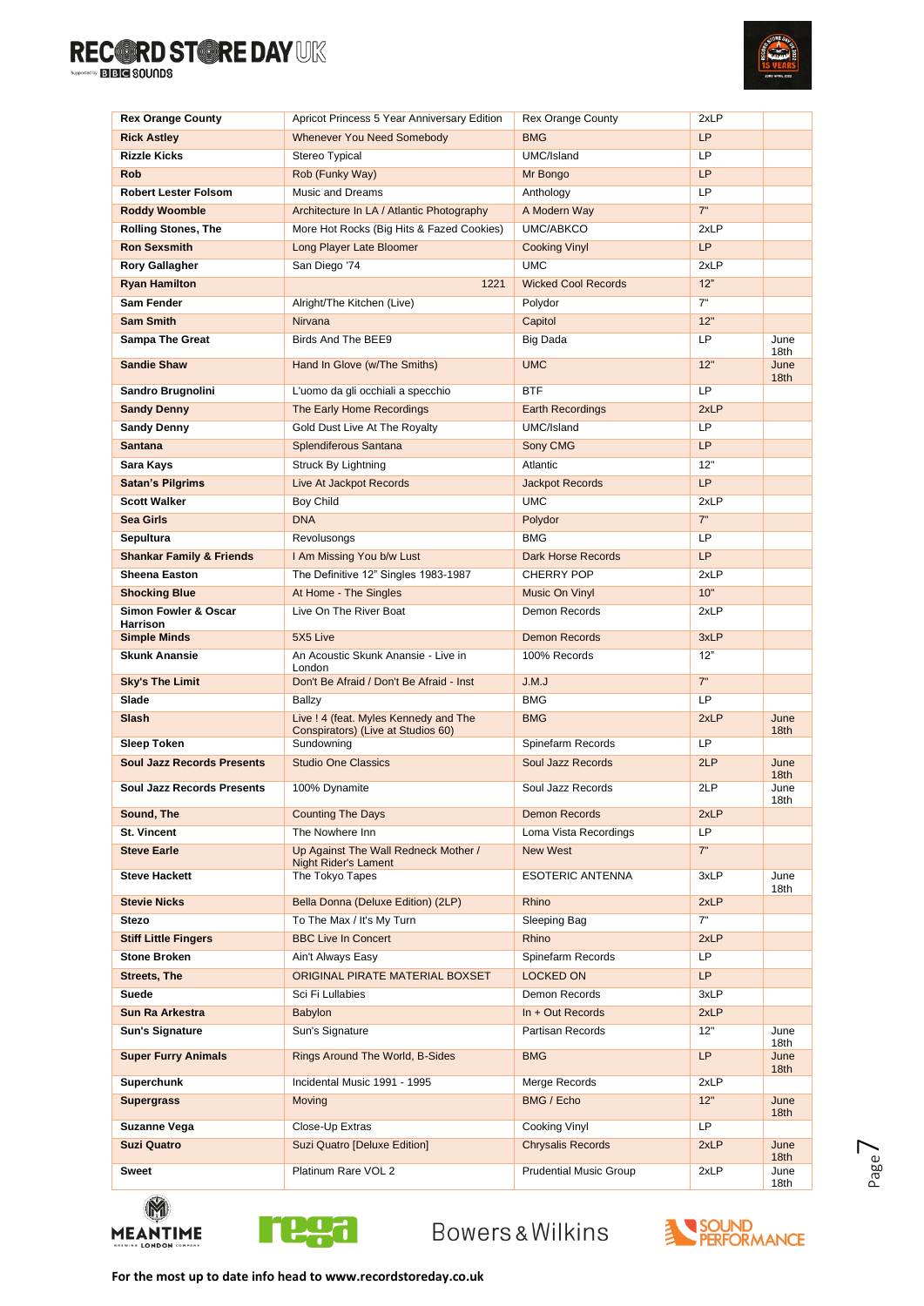

| <b>Rex Orange County</b>            | Apricot Princess 5 Year Anniversary Edition    | <b>Rex Orange County</b>      | 2xLP      |                          |
|-------------------------------------|------------------------------------------------|-------------------------------|-----------|--------------------------|
| <b>Rick Astley</b>                  | Whenever You Need Somebody                     | <b>BMG</b>                    | <b>LP</b> |                          |
| <b>Rizzle Kicks</b>                 | Stereo Typical                                 | UMC/Island                    | LP.       |                          |
| <b>Rob</b>                          | Rob (Funky Way)                                | Mr Bongo                      | LP        |                          |
| <b>Robert Lester Folsom</b>         | Music and Dreams                               | Anthology                     | LP.       |                          |
| <b>Roddy Woomble</b>                | Architecture In LA / Atlantic Photography      | A Modern Way                  | 7"        |                          |
| <b>Rolling Stones, The</b>          | More Hot Rocks (Big Hits & Fazed Cookies)      | UMC/ABKCO                     | 2xLP      |                          |
| <b>Ron Sexsmith</b>                 | Long Player Late Bloomer                       | <b>Cooking Vinyl</b>          | <b>LP</b> |                          |
| <b>Rory Gallagher</b>               | San Diego '74                                  | <b>UMC</b>                    | 2xLP      |                          |
| <b>Ryan Hamilton</b>                | 1221                                           | <b>Wicked Cool Records</b>    | 12"       |                          |
| <b>Sam Fender</b>                   | Alright/The Kitchen (Live)                     | Polydor                       | 7"        |                          |
| <b>Sam Smith</b>                    | Nirvana                                        | Capitol                       | 12"       |                          |
| <b>Sampa The Great</b>              | Birds And The BEE9                             | <b>Big Dada</b>               | LP.       | June                     |
|                                     |                                                |                               |           | 18th                     |
| <b>Sandie Shaw</b>                  | Hand In Glove (w/The Smiths)                   | <b>UMC</b>                    | 12"       | June<br>18 <sub>th</sub> |
| Sandro Brugnolini                   | L'uomo da gli occhiali a specchio              | <b>BTF</b>                    | LP        |                          |
| <b>Sandy Denny</b>                  | The Early Home Recordings                      | <b>Earth Recordings</b>       | 2xLP      |                          |
| <b>Sandy Denny</b>                  | Gold Dust Live At The Royalty                  | UMC/Island                    | <b>LP</b> |                          |
| <b>Santana</b>                      | Splendiferous Santana                          | Sony CMG                      | LP        |                          |
| Sara Kays                           | <b>Struck By Lightning</b>                     | Atlantic                      | 12"       |                          |
| <b>Satan's Pilgrims</b>             | Live At Jackpot Records                        | Jackpot Records               | <b>LP</b> |                          |
| <b>Scott Walker</b>                 | Boy Child                                      | <b>UMC</b>                    | 2xLP      |                          |
| <b>Sea Girls</b>                    | <b>DNA</b>                                     | Polydor                       | 7"        |                          |
| Sepultura                           | Revolusongs                                    | <b>BMG</b>                    | LP        |                          |
| <b>Shankar Family &amp; Friends</b> | I Am Missing You b/w Lust                      | <b>Dark Horse Records</b>     | <b>LP</b> |                          |
| <b>Sheena Easton</b>                | The Definitive 12" Singles 1983-1987           | <b>CHERRY POP</b>             | 2xLP      |                          |
| <b>Shocking Blue</b>                | At Home - The Singles                          | Music On Vinyl                | 10"       |                          |
| Simon Fowler & Oscar                | Live On The River Boat                         | Demon Records                 | 2xLP      |                          |
| <b>Harrison</b>                     |                                                |                               |           |                          |
| <b>Simple Minds</b>                 | 5X5 Live                                       | <b>Demon Records</b>          | 3xLP      |                          |
| <b>Skunk Anansie</b>                | An Acoustic Skunk Anansie - Live in<br>London  | 100% Records                  | 12"       |                          |
| <b>Sky's The Limit</b>              | Don't Be Afraid / Don't Be Afraid - Inst       | J.M.J                         | 7"        |                          |
| Slade                               | Ballzy                                         | <b>BMG</b>                    | LP        |                          |
| <b>Slash</b>                        | Live ! 4 (feat. Myles Kennedy and The          | <b>BMG</b>                    | 2xLP      | June                     |
|                                     | Conspirators) (Live at Studios 60)             |                               |           | 18 <sub>th</sub>         |
| <b>Sleep Token</b>                  | Sundowning                                     | Spinefarm Records             | LP        |                          |
| <b>Soul Jazz Records Presents</b>   | <b>Studio One Classics</b>                     | <b>Soul Jazz Records</b>      | 2LP       | June<br>18 <sub>th</sub> |
| <b>Soul Jazz Records Presents</b>   | 100% Dynamite                                  | Soul Jazz Records             | 2LP       | June<br>18th             |
| Sound, The                          | <b>Counting The Days</b>                       | Demon Records                 | 2xLP      |                          |
| <b>St. Vincent</b>                  | The Nowhere Inn                                | Loma Vista Recordings         | LP        |                          |
| <b>Steve Earle</b>                  | Up Against The Wall Redneck Mother /           | <b>New West</b>               | 7"        |                          |
| <b>Steve Hackett</b>                | <b>Night Rider's Lament</b><br>The Tokyo Tapes | ESOTERIC ANTENNA              | 3xLP      | June                     |
|                                     |                                                |                               |           | 18th                     |
| <b>Stevie Nicks</b>                 | Bella Donna (Deluxe Edition) (2LP)             | Rhino                         | 2xLP      |                          |
| <b>Stezo</b>                        | To The Max / It's My Turn                      | Sleeping Bag                  | 7"        |                          |
| <b>Stiff Little Fingers</b>         | <b>BBC Live In Concert</b>                     | Rhino                         | 2xLP      |                          |
| <b>Stone Broken</b>                 | Ain't Always Easy                              | Spinefarm Records             | LP.       |                          |
| <b>Streets, The</b>                 | ORIGINAL PIRATE MATERIAL BOXSET                | <b>LOCKED ON</b>              | LP        |                          |
| <b>Suede</b>                        | Sci Fi Lullabies                               | Demon Records                 | 3xLP      |                          |
| Sun Ra Arkestra                     | <b>Babylon</b>                                 | In + Out Records              | 2xLP      |                          |
| <b>Sun's Signature</b>              | Sun's Signature                                | Partisan Records              | 12"       | June<br>18th             |
| <b>Super Furry Animals</b>          | Rings Around The World, B-Sides                | <b>BMG</b>                    | LP        | June                     |
| Superchunk                          | Incidental Music 1991 - 1995                   | Merge Records                 | 2xLP      | 18 <sub>th</sub>         |
| <b>Supergrass</b>                   | Moving                                         | BMG / Echo                    | 12"       | June                     |
|                                     |                                                |                               |           | 18 <sub>th</sub>         |
| Suzanne Vega                        | Close-Up Extras                                | Cooking Vinyl                 | LP.       |                          |
| <b>Suzi Quatro</b>                  | Suzi Quatro [Deluxe Edition]                   | <b>Chrysalis Records</b>      | 2xLP      | June<br>18 <sub>th</sub> |
| Sweet                               | Platinum Rare VOL 2                            | <b>Prudential Music Group</b> | 2xLP      | June                     |
|                                     |                                                |                               |           | 18th                     |



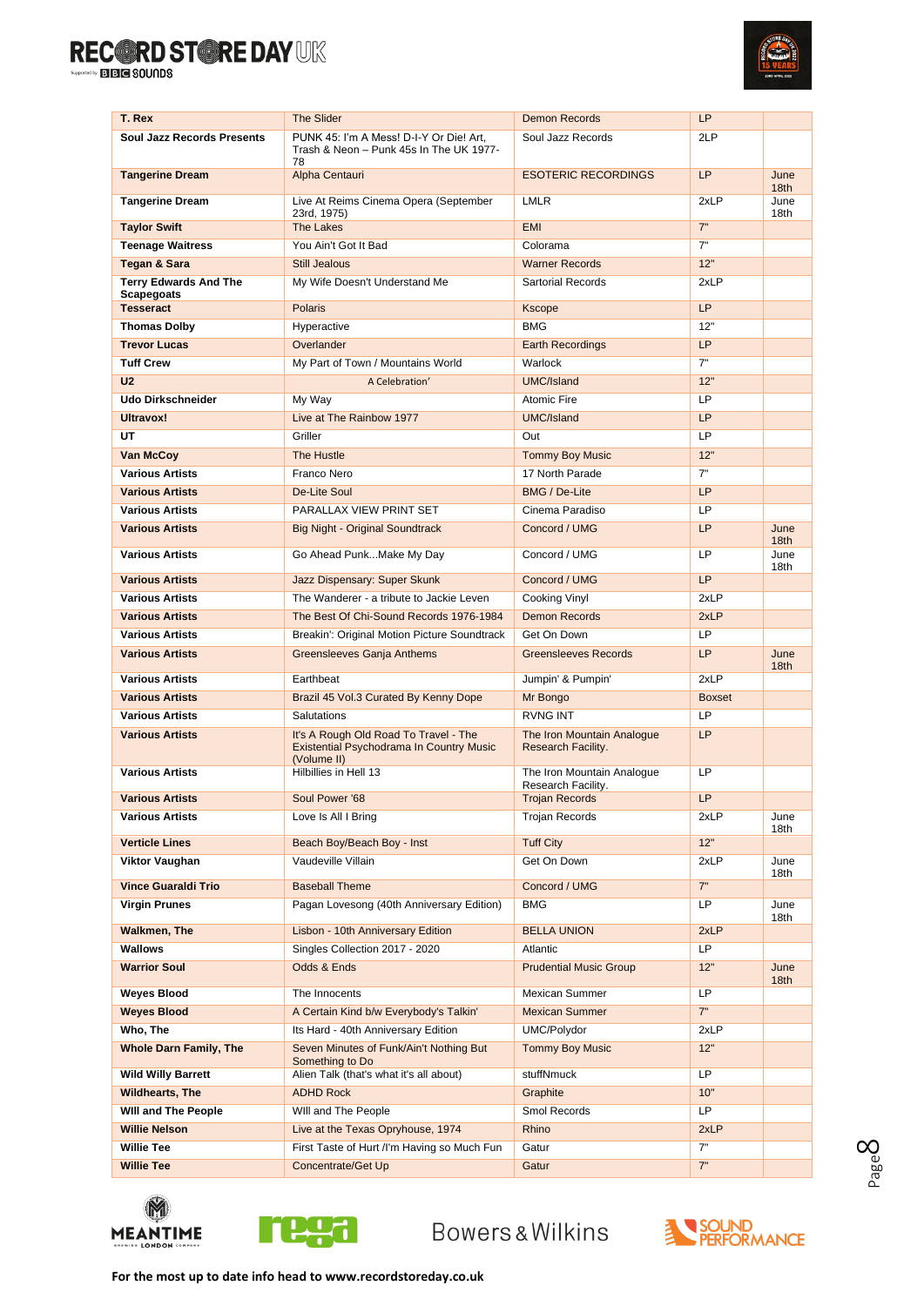

| T. Rex                                 | <b>The Slider</b>                                                                                       | <b>Demon Records</b>                             | LP            |                                  |
|----------------------------------------|---------------------------------------------------------------------------------------------------------|--------------------------------------------------|---------------|----------------------------------|
| <b>Soul Jazz Records Presents</b>      | PUNK 45: I'm A Mess! D-I-Y Or Die! Art.<br>Trash & Neon - Punk 45s In The UK 1977-<br>78                | Soul Jazz Records                                | 2LP           |                                  |
| <b>Tangerine Dream</b>                 | Alpha Centauri                                                                                          | <b>ESOTERIC RECORDINGS</b>                       | <b>LP</b>     | June<br>18 <sub>th</sub>         |
| <b>Tangerine Dream</b>                 | Live At Reims Cinema Opera (September<br>23rd, 1975)                                                    | <b>LMLR</b>                                      | 2xLP          | June<br>18th                     |
| <b>Taylor Swift</b>                    | <b>The Lakes</b>                                                                                        | <b>EMI</b>                                       | 7"            |                                  |
| <b>Teenage Waitress</b>                | You Ain't Got It Bad                                                                                    | Colorama                                         | 7"            |                                  |
| Tegan & Sara                           | <b>Still Jealous</b>                                                                                    | <b>Warner Records</b>                            | 12"           |                                  |
| <b>Terry Edwards And The</b>           | My Wife Doesn't Understand Me                                                                           | Sartorial Records                                | 2xLP          |                                  |
| <b>Scapegoats</b>                      |                                                                                                         |                                                  |               |                                  |
| <b>Tesseract</b>                       | <b>Polaris</b>                                                                                          | <b>Kscope</b>                                    | <b>LP</b>     |                                  |
| <b>Thomas Dolby</b>                    | Hyperactive                                                                                             | <b>BMG</b>                                       | 12"           |                                  |
| <b>Trevor Lucas</b>                    | Overlander                                                                                              | <b>Earth Recordings</b>                          | <b>LP</b>     |                                  |
| <b>Tuff Crew</b>                       | My Part of Town / Mountains World                                                                       | Warlock                                          | 7"            |                                  |
| U <sub>2</sub>                         | A Celebration'                                                                                          | UMC/Island                                       | 12"           |                                  |
| <b>Udo Dirkschneider</b>               | My Way                                                                                                  | Atomic Fire                                      | LP            |                                  |
| Ultravox!                              | Live at The Rainbow 1977                                                                                | UMC/Island                                       | <b>LP</b>     |                                  |
| UT                                     | Griller                                                                                                 | Out                                              | LP            |                                  |
| Van McCoy                              | The Hustle                                                                                              | <b>Tommy Boy Music</b>                           | 12"           |                                  |
| <b>Various Artists</b>                 | Franco Nero                                                                                             | 17 North Parade                                  | 7"            |                                  |
| <b>Various Artists</b>                 | De-Lite Soul                                                                                            | <b>BMG / De-Lite</b>                             | <b>LP</b>     |                                  |
| <b>Various Artists</b>                 | PARALLAX VIEW PRINT SET                                                                                 | Cinema Paradiso                                  | <b>LP</b>     |                                  |
| <b>Various Artists</b>                 | <b>Big Night - Original Soundtrack</b>                                                                  | Concord / UMG                                    | <b>LP</b>     | June                             |
| <b>Various Artists</b>                 | Go Ahead PunkMake My Day                                                                                | Concord / UMG                                    | LP            | 18 <sub>th</sub><br>June<br>18th |
| <b>Various Artists</b>                 | Jazz Dispensary: Super Skunk                                                                            | Concord / UMG                                    | <b>LP</b>     |                                  |
| <b>Various Artists</b>                 | The Wanderer - a tribute to Jackie Leven                                                                | Cooking Vinyl                                    | 2xLP          |                                  |
| <b>Various Artists</b>                 | The Best Of Chi-Sound Records 1976-1984                                                                 | <b>Demon Records</b>                             | 2xLP          |                                  |
| <b>Various Artists</b>                 | Breakin': Original Motion Picture Soundtrack                                                            | Get On Down                                      | <b>LP</b>     |                                  |
| <b>Various Artists</b>                 | Greensleeves Ganja Anthems                                                                              | Greensleeves Records                             | LP            | June<br>18 <sub>th</sub>         |
| <b>Various Artists</b>                 | Earthbeat                                                                                               | Jumpin' & Pumpin'                                | 2xLP          |                                  |
| <b>Various Artists</b>                 | Brazil 45 Vol.3 Curated By Kenny Dope                                                                   | Mr Bongo                                         | <b>Boxset</b> |                                  |
| <b>Various Artists</b>                 | Salutations                                                                                             | <b>RVNG INT</b>                                  | LP            |                                  |
| <b>Various Artists</b>                 | It's A Rough Old Road To Travel - The<br><b>Existential Psychodrama In Country Music</b><br>(Volume II) | The Iron Mountain Analogue<br>Research Facility. | <b>LP</b>     |                                  |
|                                        |                                                                                                         |                                                  |               |                                  |
| <b>Various Artists</b>                 | Hilbillies in Hell 13                                                                                   | The Iron Mountain Analogue                       | <b>LP</b>     |                                  |
| <b>Various Artists</b>                 | Soul Power '68                                                                                          | Research Facility.<br><b>Trojan Records</b>      | LP            |                                  |
| Various Artists                        | Love Is All I Bring                                                                                     | <b>Trojan Records</b>                            | 2xLP          | June                             |
|                                        |                                                                                                         |                                                  |               | 18th                             |
| <b>Verticle Lines</b>                  | Beach Boy/Beach Boy - Inst                                                                              | <b>Tuff City</b>                                 | 12"           |                                  |
| Viktor Vaughan                         | Vaudeville Villain                                                                                      | Get On Down                                      | 2xLP          | June<br>18th                     |
| <b>Vince Guaraldi Trio</b>             | <b>Baseball Theme</b>                                                                                   | Concord / UMG                                    | 7"            |                                  |
| Virgin Prunes                          | Pagan Lovesong (40th Anniversary Edition)                                                               | <b>BMG</b>                                       | LP            | June<br>18th                     |
| <b>Walkmen, The</b>                    | Lisbon - 10th Anniversary Edition                                                                       | <b>BELLA UNION</b>                               | 2xLP          |                                  |
| Wallows                                | Singles Collection 2017 - 2020                                                                          | Atlantic                                         | LP            |                                  |
| <b>Warrior Soul</b>                    | Odds & Ends                                                                                             | <b>Prudential Music Group</b>                    | 12"           | June<br>18th                     |
| Weyes Blood                            | The Innocents                                                                                           | <b>Mexican Summer</b>                            | LP            |                                  |
| <b>Weyes Blood</b>                     | A Certain Kind b/w Everybody's Talkin'                                                                  | <b>Mexican Summer</b>                            | 7"            |                                  |
| Who, The                               | Its Hard - 40th Anniversary Edition                                                                     | UMC/Polydor                                      | 2xLP          |                                  |
| <b>Whole Darn Family, The</b>          | Seven Minutes of Funk/Ain't Nothing But<br>Something to Do                                              | <b>Tommy Boy Music</b>                           | 12"           |                                  |
| <b>Wild Willy Barrett</b>              | Alien Talk (that's what it's all about)                                                                 | stuffNmuck                                       | <b>LP</b>     |                                  |
| <b>Wildhearts, The</b>                 | <b>ADHD Rock</b>                                                                                        | Graphite                                         | 10"           |                                  |
| Will and The People                    | Will and The People                                                                                     | Smol Records                                     | LP            |                                  |
| <b>Willie Nelson</b>                   | Live at the Texas Opryhouse, 1974                                                                       | Rhino                                            | 2xLP          |                                  |
| <b>Willie Tee</b><br><b>Willie Tee</b> | First Taste of Hurt /I'm Having so Much Fun<br>Concentrate/Get Up                                       | Gatur<br>Gatur                                   | 7"<br>7"      |                                  |